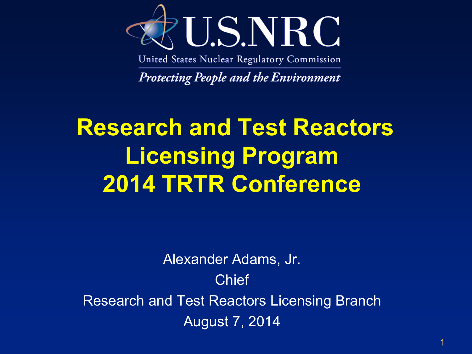

United States Nuclear Regulatory Commission

**Protecting People and the Environment** 

## **Research and Test Reactors Licensing Program 2014 TRTR Conference**

Alexander Adams, Jr. Chief Research and Test Reactors Licensing Branch August 7, 2014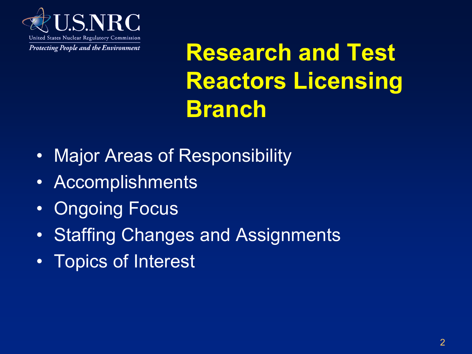

**Research and Test Reactors Licensing Branch** 

- Major Areas of Responsibility
- Accomplishments
- Ongoing Focus
- Staffing Changes and Assignments
- Topics of Interest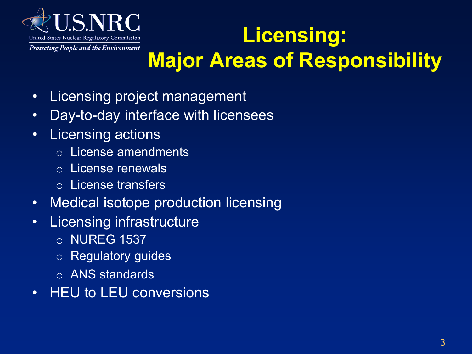

#### **Licensing: Major Areas of Responsibility**

- Licensing project management
- Day-to-day interface with licensees
- Licensing actions
	- o License amendments
	- o License renewals
	- o License transfers
- Medical isotope production licensing
- Licensing infrastructure
	- o NUREG 1537
	- o Regulatory guides
	- o ANS standards
- HEU to LEU conversions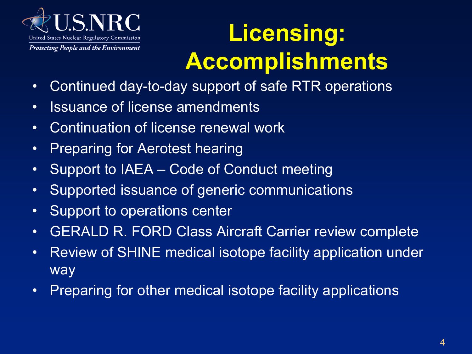

# **Licensing: Accomplishments**

- Continued day-to-day support of safe RTR operations
- Issuance of license amendments
- Continuation of license renewal work
- Preparing for Aerotest hearing
- Support to IAEA Code of Conduct meeting
- Supported issuance of generic communications
- Support to operations center
- GERALD R. FORD Class Aircraft Carrier review complete
- Review of SHINE medical isotope facility application under way
- Preparing for other medical isotope facility applications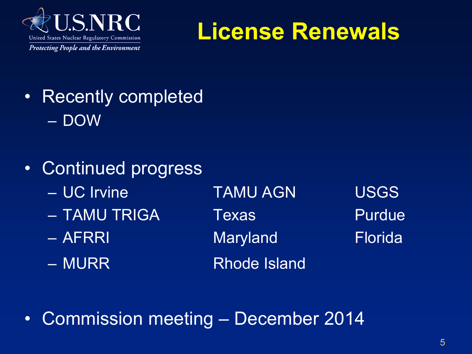

#### **License Renewals**

- Recently completed – DOW
- Continued progress
	- UC Irvine TAMU AGN USGS
	- TAMU TRIGA Texas Purdue
	-
	-

– AFRRI Maryland Florida – MURR Rhode Island

• Commission meeting – December 2014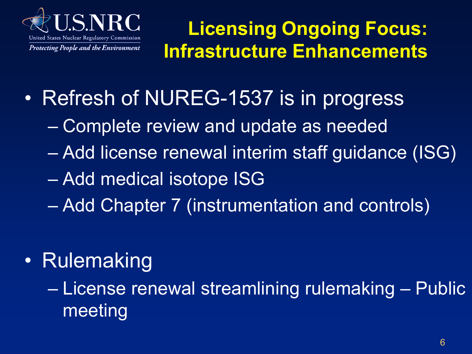

**Licensing Ongoing Focus: Infrastructure Enhancements** 

- Refresh of NUREG-1537 is in progress
	- Complete review and update as needed
	- Add license renewal interim staff guidance (ISG)
	- Add medical isotope ISG
	- Add Chapter 7 (instrumentation and controls)
- Rulemaking

– License renewal streamlining rulemaking – Public meeting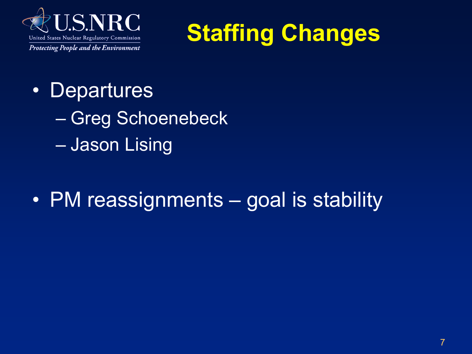



- Departures
	- Greg Schoenebeck
	- Jason Lising
- PM reassignments goal is stability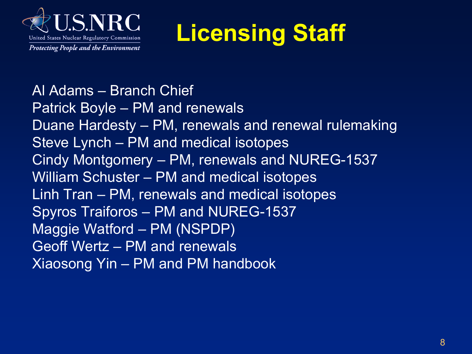

# **Licensing Staff**

Al Adams – Branch Chief Patrick Boyle – PM and renewals Duane Hardesty – PM, renewals and renewal rulemaking Steve Lynch – PM and medical isotopes Cindy Montgomery – PM, renewals and NUREG-1537 William Schuster – PM and medical isotopes Linh Tran – PM, renewals and medical isotopes Spyros Traiforos – PM and NUREG-1537 Maggie Watford – PM (NSPDP) Geoff Wertz – PM and renewals Xiaosong Yin – PM and PM handbook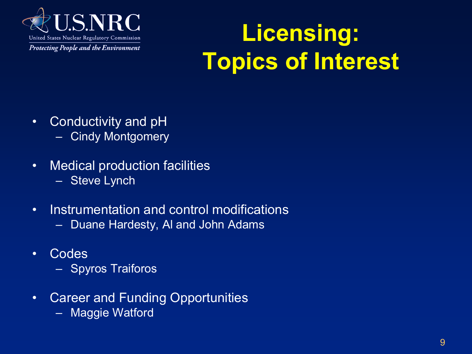

## **Licensing: Topics of Interest**

- Conductivity and pH – Cindy Montgomery
- Medical production facilities – Steve Lynch
- Instrumentation and control modifications
	- Duane Hardesty, Al and John Adams
- Codes
	- Spyros Traiforos
- Career and Funding Opportunities
	- Maggie Watford